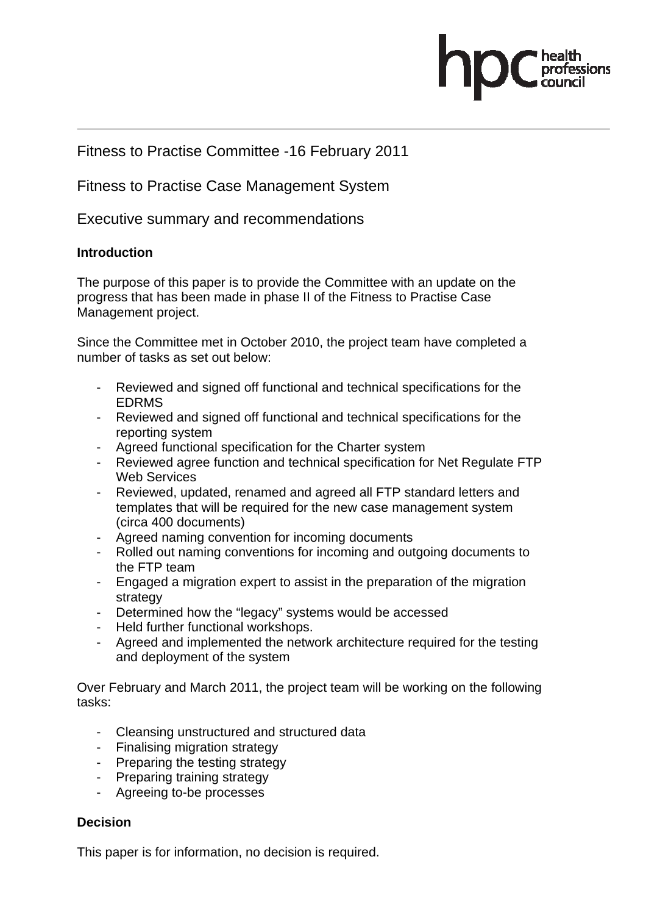

# Fitness to Practise Committee -16 February 2011

Fitness to Practise Case Management System

Executive summary and recommendations

### **Introduction**

The purpose of this paper is to provide the Committee with an update on the progress that has been made in phase II of the Fitness to Practise Case Management project.

Since the Committee met in October 2010, the project team have completed a number of tasks as set out below:

- Reviewed and signed off functional and technical specifications for the EDRMS
- Reviewed and signed off functional and technical specifications for the reporting system
- Agreed functional specification for the Charter system
- Reviewed agree function and technical specification for Net Regulate FTP Web Services
- Reviewed, updated, renamed and agreed all FTP standard letters and templates that will be required for the new case management system (circa 400 documents)
- Agreed naming convention for incoming documents
- Rolled out naming conventions for incoming and outgoing documents to the FTP team
- Engaged a migration expert to assist in the preparation of the migration strategy
- Determined how the "legacy" systems would be accessed
- Held further functional workshops.
- Agreed and implemented the network architecture required for the testing and deployment of the system

Over February and March 2011, the project team will be working on the following tasks:

- Cleansing unstructured and structured data
- Finalising migration strategy
- Preparing the testing strategy
- Preparing training strategy
- Agreeing to-be processes

### **Decision**

This paper is for information, no decision is required.